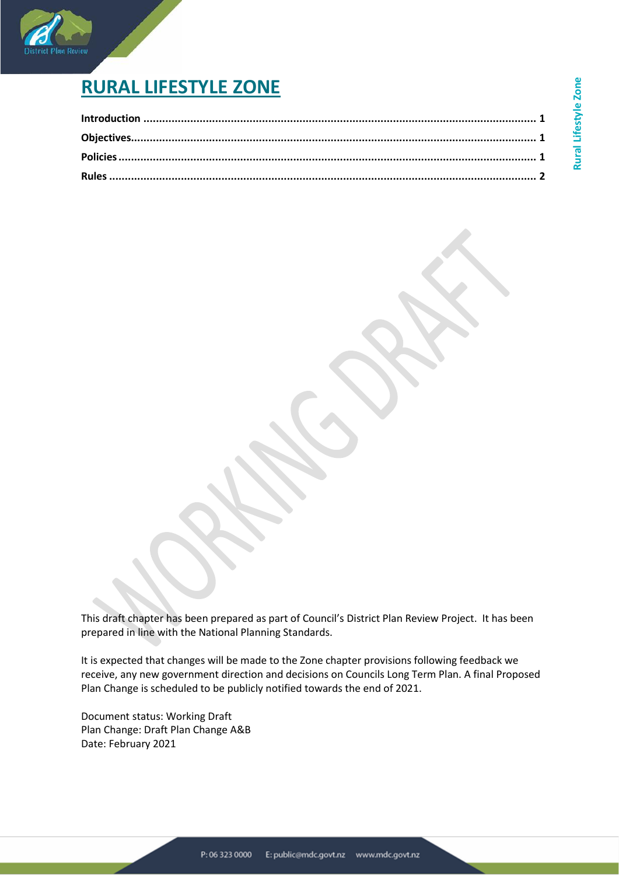

# **RURAL LIFESTYLE ZONE**

This draft chapter has been prepared as part of Council's District Plan Review Project.  It has been prepared in line with the National Planning Standards. 

It is expected that changes will be made to the Zone chapter provisions following feedback we receive, any new government direction and decisions on Councils Long Term Plan. A final Proposed Plan Change is scheduled to be publicly notified towards the end of 2021. 

Document status: Working Draft  Plan Change: Draft Plan Change A&B  Date: February 2021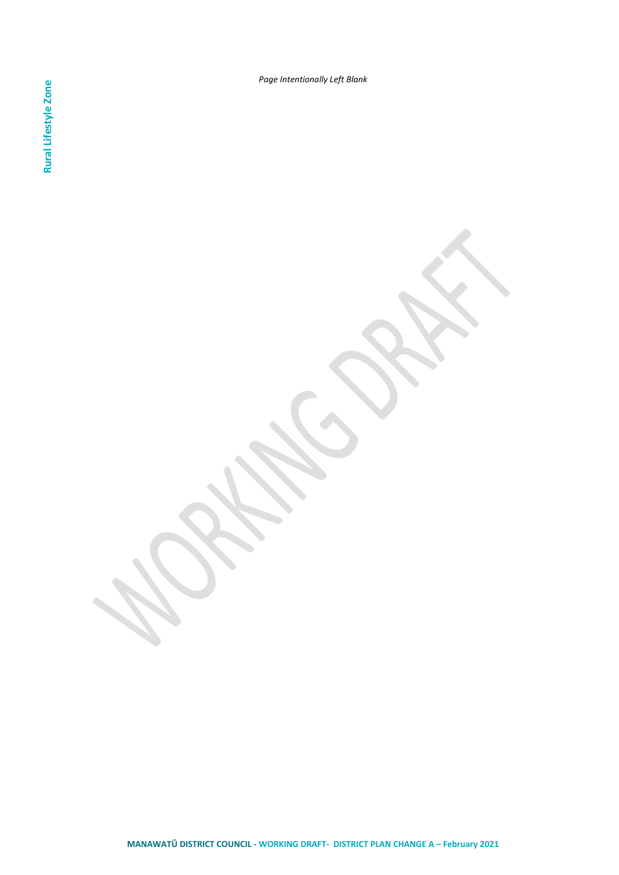*Page Intentionally Left Blank*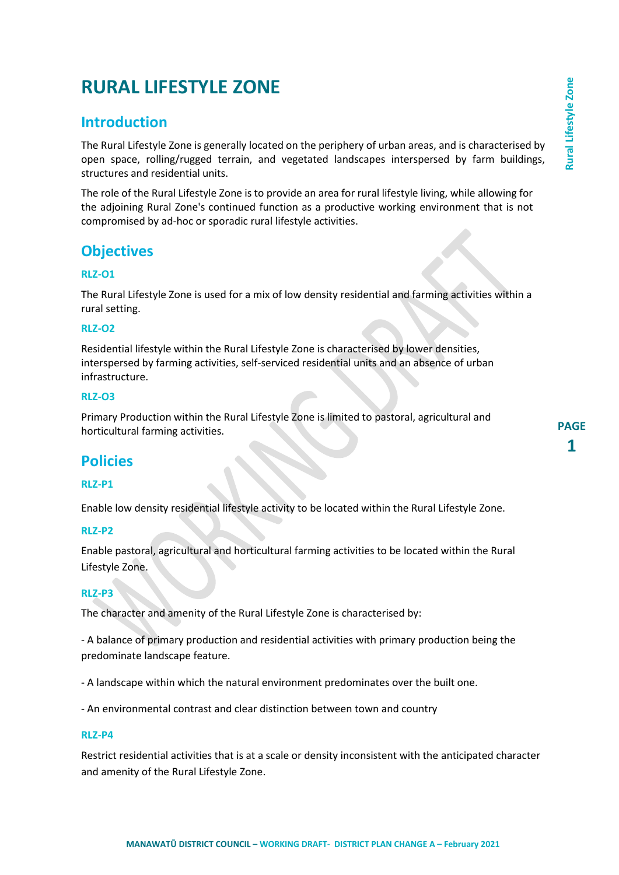# **RURAL LIFESTYLE ZONE**

# <span id="page-2-0"></span>**Introduction**

The Rural Lifestyle Zone is generally located on the periphery of urban areas, and is characterised by open space, rolling/rugged terrain, and vegetated landscapes interspersed by farm buildings, structures and residential units.

The role of the Rural Lifestyle Zone is to provide an area for rural lifestyle living, while allowing for the adjoining Rural Zone's continued function as a productive working environment that is not compromised by ad-hoc or sporadic rural lifestyle activities.

# <span id="page-2-1"></span>**Objectives**

## **RLZ-O1**

The Rural Lifestyle Zone is used for a mix of low density residential and farming activities within a rural setting.

#### **RLZ-O2**

Residential lifestyle within the Rural Lifestyle Zone is characterised by lower densities, interspersed by farming activities, self-serviced residential units and an absence of urban infrastructure.

#### **RLZ-O3**

Primary Production within the Rural Lifestyle Zone is limited to pastoral, agricultural and horticultural farming activities.

# <span id="page-2-2"></span>**Policies**

## **RLZ-P1**

Enable low density residential lifestyle activity to be located within the Rural Lifestyle Zone.

## **RLZ-P2**

Enable pastoral, agricultural and horticultural farming activities to be located within the Rural Lifestyle Zone.

## **RLZ-P3**

The character and amenity of the Rural Lifestyle Zone is characterised by:

- A balance of primary production and residential activities with primary production being the predominate landscape feature.

- A landscape within which the natural environment predominates over the built one.

- An environmental contrast and clear distinction between town and country

#### **RLZ-P4**

Restrict residential activities that is at a scale or density inconsistent with the anticipated character and amenity of the Rural Lifestyle Zone.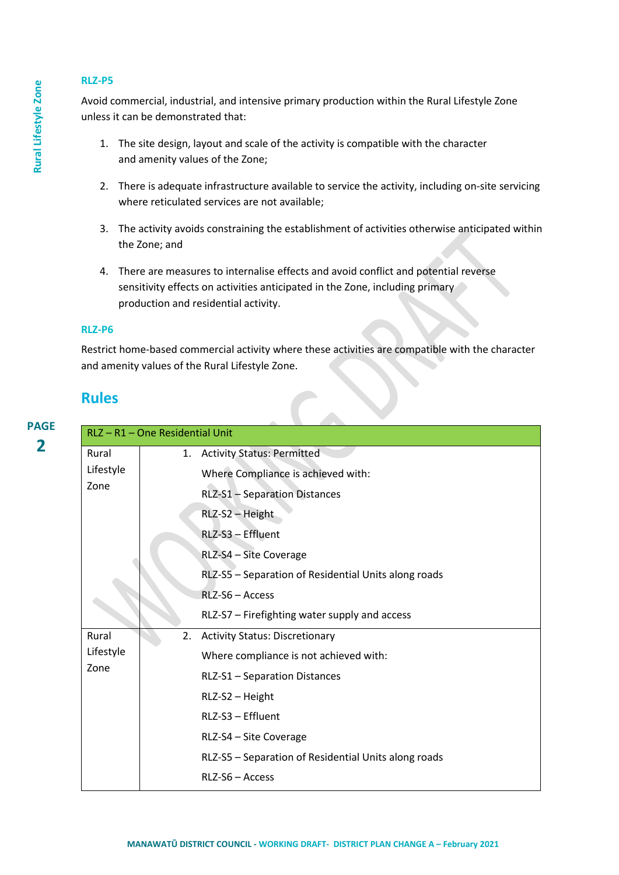#### **RLZ-P5**

Avoid commercial, industrial, and intensive primary production within the Rural Lifestyle Zone unless it can be demonstrated that:

- 1. The site design, layout and scale of the activity is compatible with the character and amenity values of the Zone;
- 2. There is adequate infrastructure available to service the activity, including on-site servicing where reticulated services are not available;
- 3. The activity avoids constraining the establishment of activities otherwise anticipated within the Zone; and
- 4. There are measures to internalise effects and avoid conflict and potential reverse sensitivity effects on activities anticipated in the Zone, including primary production and residential activity.

#### **RLZ-P6**

Restrict home-based commercial activity where these activities are compatible with the character and amenity values of the Rural Lifestyle Zone.

## <span id="page-3-0"></span>**Rules**

| r<br>۰<br>ı |
|-------------|
|             |

|                            | RLZ-R1-One Residential Unit |                                                      |
|----------------------------|-----------------------------|------------------------------------------------------|
| Rural                      |                             | 1. Activity Status: Permitted                        |
| Lifestyle<br>Zone          |                             | Where Compliance is achieved with:                   |
|                            |                             | RLZ-S1 - Separation Distances                        |
|                            |                             | RLZ-S2 - Height                                      |
|                            |                             | RLZ-S3 - Effluent                                    |
|                            |                             | RLZ-S4 - Site Coverage                               |
|                            |                             | RLZ-S5 - Separation of Residential Units along roads |
|                            |                             | RLZ-S6 - Access                                      |
|                            |                             | RLZ-S7 - Firefighting water supply and access        |
| Rural<br>Lifestyle<br>Zone | 2.                          | <b>Activity Status: Discretionary</b>                |
|                            |                             | Where compliance is not achieved with:               |
|                            |                             | RLZ-S1 - Separation Distances                        |
|                            |                             | RLZ-S2 - Height                                      |
|                            |                             | RLZ-S3 - Effluent                                    |
|                            |                             | RLZ-S4 - Site Coverage                               |
|                            |                             | RLZ-S5 - Separation of Residential Units along roads |
|                            |                             | RLZ-S6 - Access                                      |

**MANAWATŪ DISTRICT COUNCIL - WORKING DRAFT- DISTRICT PLAN CHANGE A – February 2021**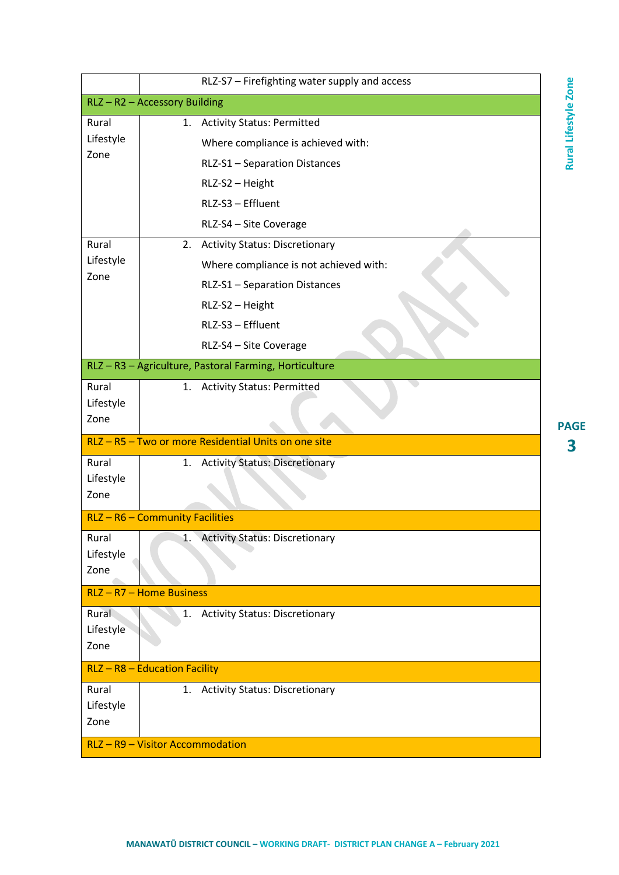|                    | RLZ-S7 - Firefighting water supply and access        |                             |
|--------------------|------------------------------------------------------|-----------------------------|
|                    | RLZ-R2-Accessory Building                            | <b>Rural Lifestyle Zone</b> |
| Rural              | 1. Activity Status: Permitted                        |                             |
| Lifestyle          | Where compliance is achieved with:                   |                             |
| Zone               | RLZ-S1 - Separation Distances                        |                             |
|                    | RLZ-S2 - Height                                      |                             |
|                    | RLZ-S3 - Effluent                                    |                             |
|                    | RLZ-S4 - Site Coverage                               |                             |
| Rural              | <b>Activity Status: Discretionary</b><br>2.          |                             |
| Lifestyle<br>Zone  | Where compliance is not achieved with:               |                             |
|                    | RLZ-S1 - Separation Distances                        |                             |
|                    | RLZ-S2 - Height                                      |                             |
|                    | RLZ-S3 - Effluent                                    |                             |
|                    | RLZ-S4 - Site Coverage                               |                             |
|                    | RLZ-R3-Agriculture, Pastoral Farming, Horticulture   |                             |
| Rural              | <b>Activity Status: Permitted</b><br>1.              |                             |
| Lifestyle          |                                                      |                             |
| Zone               |                                                      | <b>PAG</b>                  |
|                    | RLZ - R5 - Two or more Residential Units on one site | 3                           |
| Rural<br>Lifestyle | <b>Activity Status: Discretionary</b><br>1.          |                             |
| Zone               |                                                      |                             |
|                    | RLZ-R6-Community Facilities                          |                             |
| Rural              | 1.<br><b>Activity Status: Discretionary</b>          |                             |
| Lifestyle          |                                                      |                             |
| Zone               |                                                      |                             |
|                    | RLZ-R7-Home Business                                 |                             |
| Rural              | <b>Activity Status: Discretionary</b><br>1.          |                             |
| Lifestyle          |                                                      |                             |
| Zone               |                                                      |                             |
|                    | RLZ-R8-Education Facility                            |                             |
| Rural<br>Lifestyle | 1. Activity Status: Discretionary                    |                             |
| Zone               |                                                      |                             |
|                    | RLZ-R9-Visitor Accommodation                         |                             |
|                    |                                                      |                             |

**PAGE**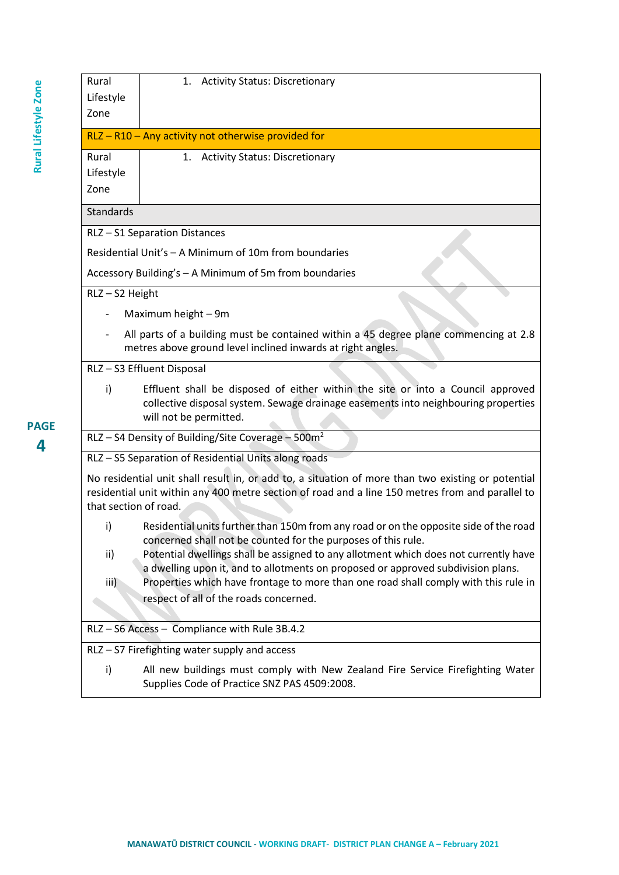| Rural                 | <b>Activity Status: Discretionary</b><br>1.                                                                                                                                                            |
|-----------------------|--------------------------------------------------------------------------------------------------------------------------------------------------------------------------------------------------------|
| Lifestyle             |                                                                                                                                                                                                        |
| Zone                  |                                                                                                                                                                                                        |
|                       | $RLZ - R10 - Any activity not otherwise provided for$                                                                                                                                                  |
| Rural                 | 1. Activity Status: Discretionary                                                                                                                                                                      |
| Lifestyle             |                                                                                                                                                                                                        |
| Zone                  |                                                                                                                                                                                                        |
| Standards             |                                                                                                                                                                                                        |
|                       | RLZ-S1 Separation Distances                                                                                                                                                                            |
|                       | Residential Unit's - A Minimum of 10m from boundaries                                                                                                                                                  |
|                       | Accessory Building's - A Minimum of 5m from boundaries                                                                                                                                                 |
| RLZ-S2 Height         |                                                                                                                                                                                                        |
| Maximum height - 9m   |                                                                                                                                                                                                        |
|                       | All parts of a building must be contained within a 45 degree plane commencing at 2.8<br>metres above ground level inclined inwards at right angles.                                                    |
|                       | RLZ-S3 Effluent Disposal                                                                                                                                                                               |
| i)                    | Effluent shall be disposed of either within the site or into a Council approved<br>collective disposal system. Sewage drainage easements into neighbouring properties<br>will not be permitted.        |
|                       | RLZ - S4 Density of Building/Site Coverage - $500m^2$                                                                                                                                                  |
|                       | RLZ-S5 Separation of Residential Units along roads                                                                                                                                                     |
| that section of road. | No residential unit shall result in, or add to, a situation of more than two existing or potential<br>residential unit within any 400 metre section of road and a line 150 metres from and parallel to |
| i)                    | Residential units further than 150m from any road or on the opposite side of the road<br>concerned shall not be counted for the purposes of this rule.                                                 |
| ii)                   | Potential dwellings shall be assigned to any allotment which does not currently have<br>a dwelling upon it, and to allotments on proposed or approved subdivision plans.                               |
| iii)                  | Properties which have frontage to more than one road shall comply with this rule in                                                                                                                    |
|                       | respect of all of the roads concerned.                                                                                                                                                                 |
|                       | RLZ-S6 Access-Compliance with Rule 3B.4.2                                                                                                                                                              |
|                       | RLZ - S7 Firefighting water supply and access                                                                                                                                                          |
| i)                    | All new buildings must comply with New Zealand Fire Service Firefighting Water<br>Supplies Code of Practice SNZ PAS 4509:2008.                                                                         |

**PAGE 4**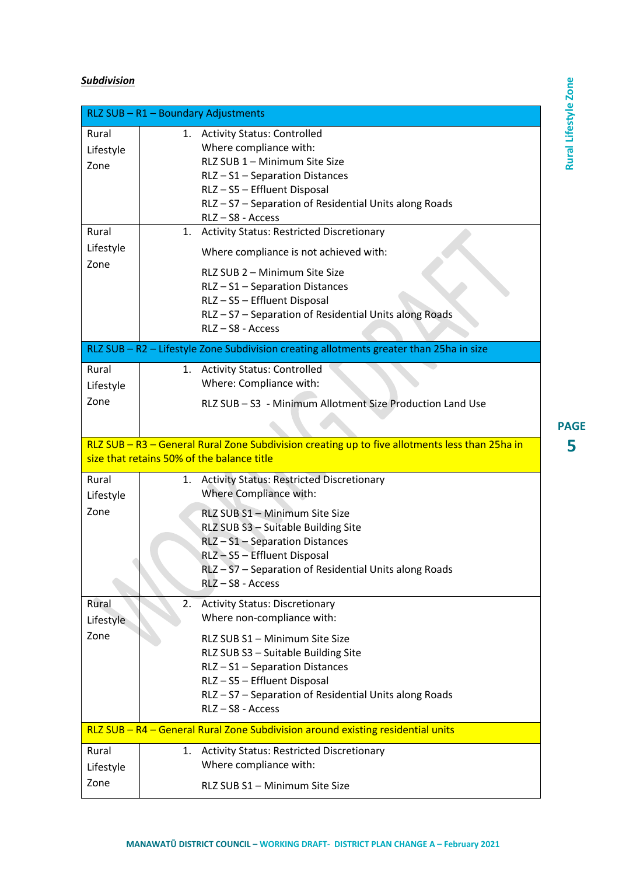## *Subdivision*

|                                                                                                                                              | RLZ SUB - R1 - Boundary Adjustments                                                                                                                                                                                                                                                                    |  |
|----------------------------------------------------------------------------------------------------------------------------------------------|--------------------------------------------------------------------------------------------------------------------------------------------------------------------------------------------------------------------------------------------------------------------------------------------------------|--|
| Rural<br>Lifestyle<br>Zone<br>Rural<br>Lifestyle                                                                                             | <b>Activity Status: Controlled</b><br>1.<br>Where compliance with:<br>RLZ SUB 1 - Minimum Site Size<br>RLZ-S1-Separation Distances<br>RLZ-S5-Effluent Disposal<br>RLZ-S7-Separation of Residential Units along Roads<br>RLZ-S8 - Access<br><b>Activity Status: Restricted Discretionary</b><br>1.      |  |
| Zone                                                                                                                                         | Where compliance is not achieved with:<br>RLZ SUB 2 - Minimum Site Size<br>RLZ-S1-Separation Distances<br>RLZ-S5-Effluent Disposal<br>RLZ-S7-Separation of Residential Units along Roads<br>RLZ-S8 - Access<br>RLZ SUB - R2 - Lifestyle Zone Subdivision creating allotments greater than 25ha in size |  |
| Rural                                                                                                                                        | 1. Activity Status: Controlled                                                                                                                                                                                                                                                                         |  |
| Lifestyle                                                                                                                                    | Where: Compliance with:                                                                                                                                                                                                                                                                                |  |
| Zone                                                                                                                                         | RLZ SUB - S3 - Minimum Allotment Size Production Land Use                                                                                                                                                                                                                                              |  |
|                                                                                                                                              |                                                                                                                                                                                                                                                                                                        |  |
| RLZ SUB - R3 - General Rural Zone Subdivision creating up to five allotments less than 25ha in<br>size that retains 50% of the balance title |                                                                                                                                                                                                                                                                                                        |  |
| Rural<br>Lifestyle                                                                                                                           | <b>Activity Status: Restricted Discretionary</b><br>1.<br>Where Compliance with:                                                                                                                                                                                                                       |  |
| Zone                                                                                                                                         | RLZ SUB S1 - Minimum Site Size<br>RLZ SUB S3 - Suitable Building Site<br>RLZ-S1-Separation Distances<br>RLZ-S5-Effluent Disposal<br>RLZ-S7-Separation of Residential Units along Roads<br>RLZ-S8 - Access                                                                                              |  |
| Rural<br>Lifestyle                                                                                                                           | 2.<br><b>Activity Status: Discretionary</b><br>Where non-compliance with:                                                                                                                                                                                                                              |  |
| Zone                                                                                                                                         | RLZ SUB S1 - Minimum Site Size<br>RLZ SUB S3 - Suitable Building Site<br>RLZ-S1-Separation Distances<br>RLZ-S5-Effluent Disposal<br>RLZ-S7-Separation of Residential Units along Roads<br>RLZ-S8 - Access                                                                                              |  |
|                                                                                                                                              | RLZ SUB - R4 - General Rural Zone Subdivision around existing residential units                                                                                                                                                                                                                        |  |
| Rural<br>Lifestyle                                                                                                                           | <b>Activity Status: Restricted Discretionary</b><br>1.<br>Where compliance with:                                                                                                                                                                                                                       |  |
| Zone                                                                                                                                         | RLZ SUB S1 - Minimum Site Size                                                                                                                                                                                                                                                                         |  |

**PAGE 5**